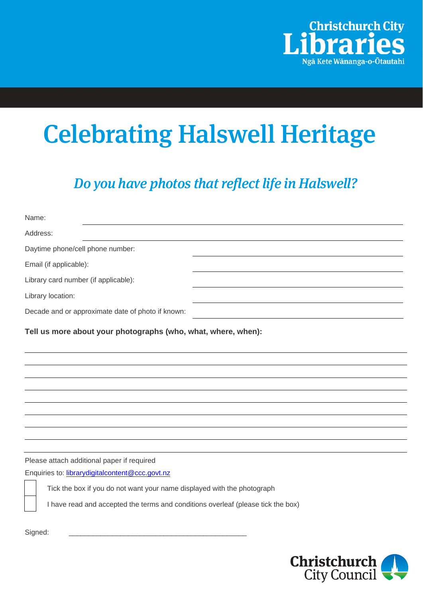

## Celebrating Halswell Heritage

Do you have photos that reflect life in Halswell?

| Name:                                                                            |
|----------------------------------------------------------------------------------|
| Address:                                                                         |
| Daytime phone/cell phone number:                                                 |
| Email (if applicable):                                                           |
| Library card number (if applicable):                                             |
| Library location:                                                                |
| Decade and or approximate date of photo if known:                                |
| Tell us more about your photographs (who, what, where, when):                    |
|                                                                                  |
|                                                                                  |
|                                                                                  |
|                                                                                  |
|                                                                                  |
|                                                                                  |
|                                                                                  |
| Please attach additional paper if required                                       |
| Enquiries to: librarydigitalcontent@ccc.govt.nz                                  |
| Tick the box if you do not want your name displayed with the photograph          |
| I have read and accepted the terms and conditions overleaf (please tick the box) |
| Signed:                                                                          |

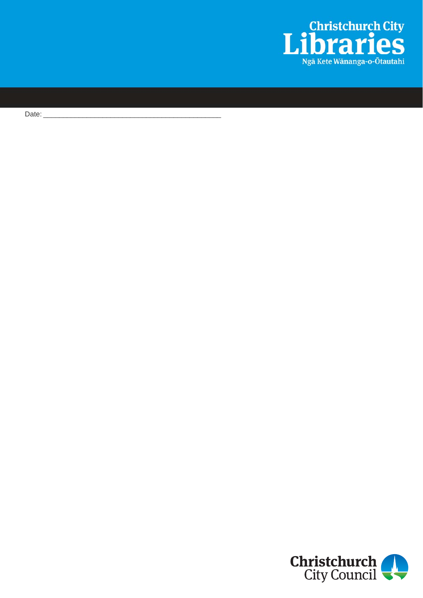

Date:  $\overline{\phantom{a}}$